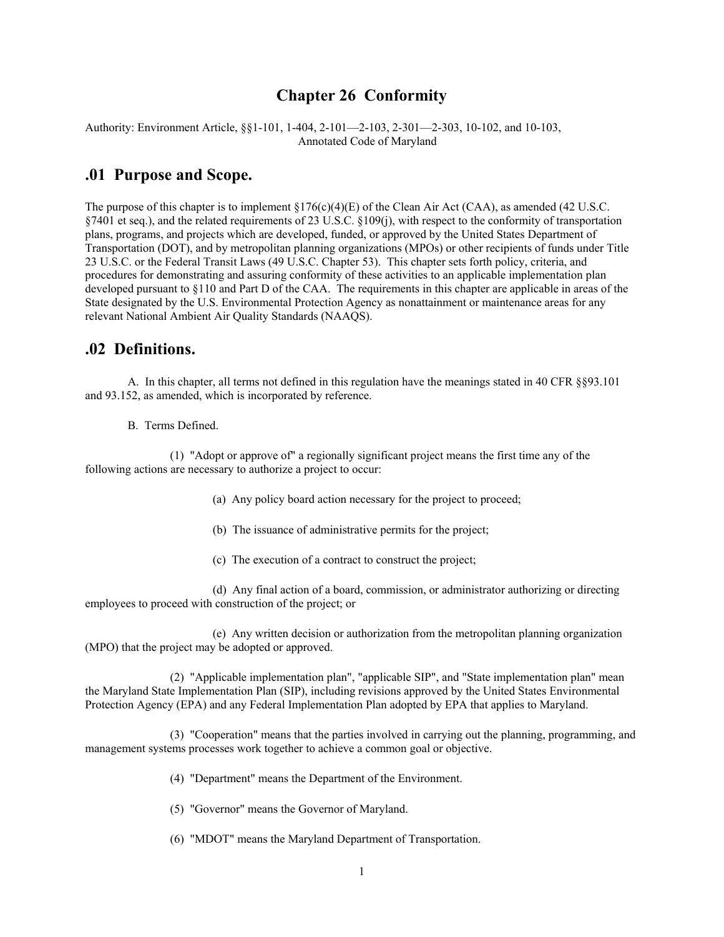### **Chapter 26 Conformity**

Authority: Environment Article, §§1-101, 1-404, 2-101—2-103, 2-301—2-303, 10-102, and 10-103, Annotated Code of Maryland

### **.01 Purpose and Scope.**

The purpose of this chapter is to implement  $\S176(c)(4)(E)$  of the Clean Air Act (CAA), as amended (42 U.S.C. §7401 et seq.), and the related requirements of 23 U.S.C. §109(j), with respect to the conformity of transportation plans, programs, and projects which are developed, funded, or approved by the United States Department of Transportation (DOT), and by metropolitan planning organizations (MPOs) or other recipients of funds under Title 23 U.S.C. or the Federal Transit Laws (49 U.S.C. Chapter 53). This chapter sets forth policy, criteria, and procedures for demonstrating and assuring conformity of these activities to an applicable implementation plan developed pursuant to §110 and Part D of the CAA. The requirements in this chapter are applicable in areas of the State designated by the U.S. Environmental Protection Agency as nonattainment or maintenance areas for any relevant National Ambient Air Quality Standards (NAAQS).

#### **.02 Definitions.**

 A. In this chapter, all terms not defined in this regulation have the meanings stated in 40 CFR §§93.101 and 93.152, as amended, which is incorporated by reference.

B. Terms Defined.

 (1) "Adopt or approve of" a regionally significant project means the first time any of the following actions are necessary to authorize a project to occur:

(a) Any policy board action necessary for the project to proceed;

- (b) The issuance of administrative permits for the project;
- (c) The execution of a contract to construct the project;

 (d) Any final action of a board, commission, or administrator authorizing or directing employees to proceed with construction of the project; or

 (e) Any written decision or authorization from the metropolitan planning organization (MPO) that the project may be adopted or approved.

 (2) "Applicable implementation plan", "applicable SIP", and "State implementation plan" mean the Maryland State Implementation Plan (SIP), including revisions approved by the United States Environmental Protection Agency (EPA) and any Federal Implementation Plan adopted by EPA that applies to Maryland.

 (3) "Cooperation" means that the parties involved in carrying out the planning, programming, and management systems processes work together to achieve a common goal or objective.

- (4) "Department" means the Department of the Environment.
- (5) "Governor" means the Governor of Maryland.
- (6) "MDOT" means the Maryland Department of Transportation.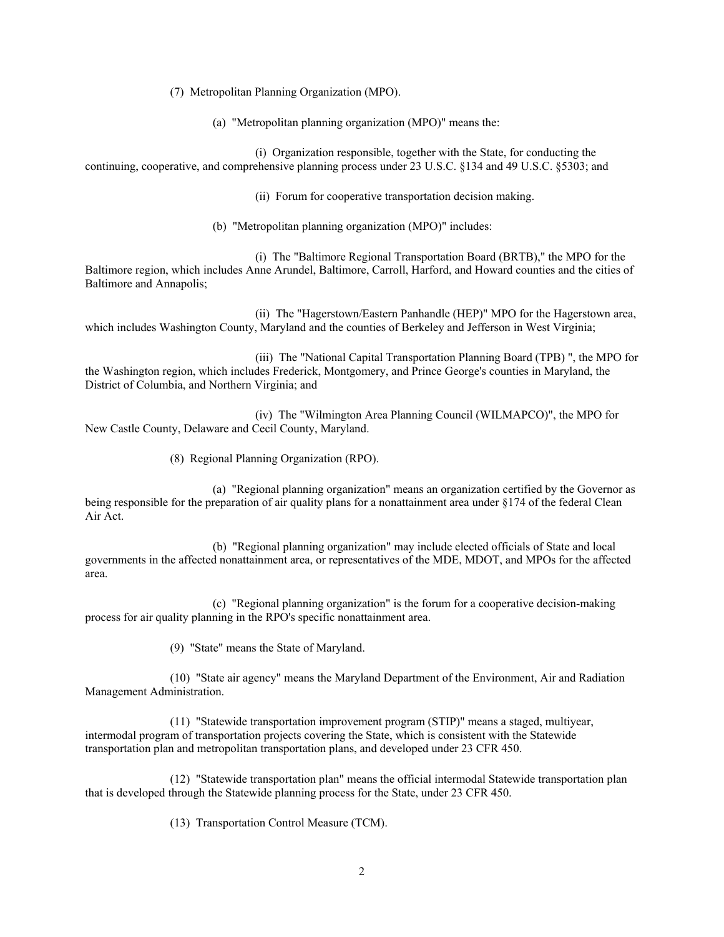(7) Metropolitan Planning Organization (MPO).

(a) "Metropolitan planning organization (MPO)" means the:

 (i) Organization responsible, together with the State, for conducting the continuing, cooperative, and comprehensive planning process under 23 U.S.C. §134 and 49 U.S.C. §5303; and

(ii) Forum for cooperative transportation decision making.

(b) "Metropolitan planning organization (MPO)" includes:

 (i) The "Baltimore Regional Transportation Board (BRTB)," the MPO for the Baltimore region, which includes Anne Arundel, Baltimore, Carroll, Harford, and Howard counties and the cities of Baltimore and Annapolis;

 (ii) The "Hagerstown/Eastern Panhandle (HEP)" MPO for the Hagerstown area, which includes Washington County, Maryland and the counties of Berkeley and Jefferson in West Virginia;

 (iii) The "National Capital Transportation Planning Board (TPB) ", the MPO for the Washington region, which includes Frederick, Montgomery, and Prince George's counties in Maryland, the District of Columbia, and Northern Virginia; and

 (iv) The "Wilmington Area Planning Council (WILMAPCO)", the MPO for New Castle County, Delaware and Cecil County, Maryland.

(8) Regional Planning Organization (RPO).

 (a) "Regional planning organization" means an organization certified by the Governor as being responsible for the preparation of air quality plans for a nonattainment area under §174 of the federal Clean Air Act.

 (b) "Regional planning organization" may include elected officials of State and local governments in the affected nonattainment area, or representatives of the MDE, MDOT, and MPOs for the affected area.

 (c) "Regional planning organization" is the forum for a cooperative decision-making process for air quality planning in the RPO's specific nonattainment area.

(9) "State" means the State of Maryland.

 (10) "State air agency" means the Maryland Department of the Environment, Air and Radiation Management Administration.

 (11) "Statewide transportation improvement program (STIP)" means a staged, multiyear, intermodal program of transportation projects covering the State, which is consistent with the Statewide transportation plan and metropolitan transportation plans, and developed under 23 CFR 450.

 (12) "Statewide transportation plan" means the official intermodal Statewide transportation plan that is developed through the Statewide planning process for the State, under 23 CFR 450.

(13) Transportation Control Measure (TCM).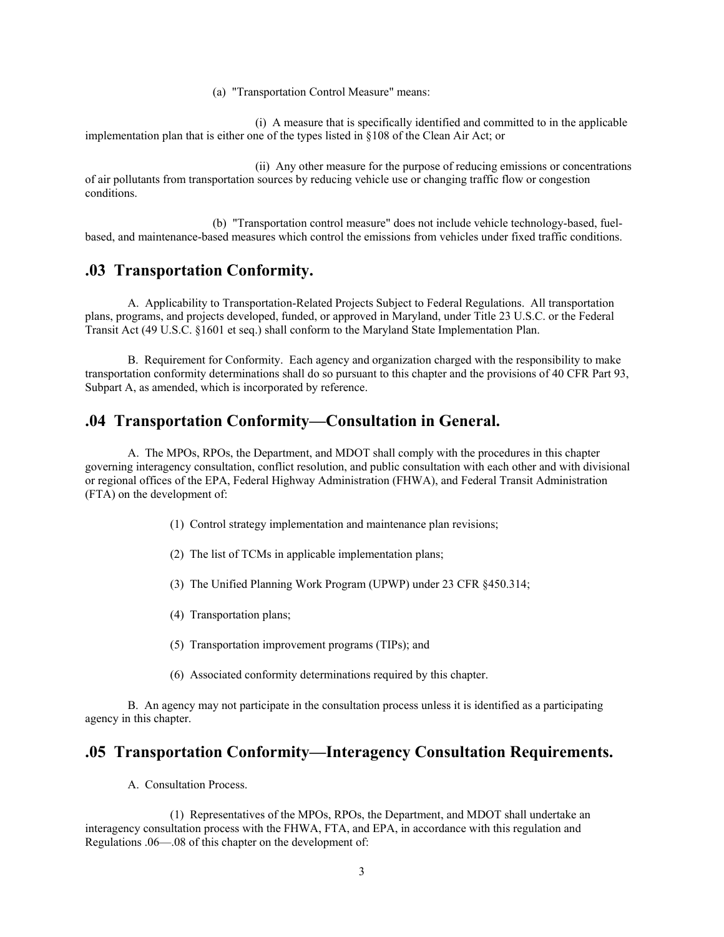(a) "Transportation Control Measure" means:

 (i) A measure that is specifically identified and committed to in the applicable implementation plan that is either one of the types listed in §108 of the Clean Air Act; or

 (ii) Any other measure for the purpose of reducing emissions or concentrations of air pollutants from transportation sources by reducing vehicle use or changing traffic flow or congestion conditions.

 (b) "Transportation control measure" does not include vehicle technology-based, fuelbased, and maintenance-based measures which control the emissions from vehicles under fixed traffic conditions.

### **.03 Transportation Conformity.**

 A. Applicability to Transportation-Related Projects Subject to Federal Regulations. All transportation plans, programs, and projects developed, funded, or approved in Maryland, under Title 23 U.S.C. or the Federal Transit Act (49 U.S.C. §1601 et seq.) shall conform to the Maryland State Implementation Plan.

 B. Requirement for Conformity. Each agency and organization charged with the responsibility to make transportation conformity determinations shall do so pursuant to this chapter and the provisions of 40 CFR Part 93, Subpart A, as amended, which is incorporated by reference.

#### **.04 Transportation Conformity—Consultation in General.**

 A. The MPOs, RPOs, the Department, and MDOT shall comply with the procedures in this chapter governing interagency consultation, conflict resolution, and public consultation with each other and with divisional or regional offices of the EPA, Federal Highway Administration (FHWA), and Federal Transit Administration (FTA) on the development of:

- (1) Control strategy implementation and maintenance plan revisions;
- (2) The list of TCMs in applicable implementation plans;
- (3) The Unified Planning Work Program (UPWP) under 23 CFR §450.314;
- (4) Transportation plans;
- (5) Transportation improvement programs (TIPs); and
- (6) Associated conformity determinations required by this chapter.

 B. An agency may not participate in the consultation process unless it is identified as a participating agency in this chapter.

#### **.05 Transportation Conformity—Interagency Consultation Requirements.**

A. Consultation Process.

 (1) Representatives of the MPOs, RPOs, the Department, and MDOT shall undertake an interagency consultation process with the FHWA, FTA, and EPA, in accordance with this regulation and Regulations .06—.08 of this chapter on the development of: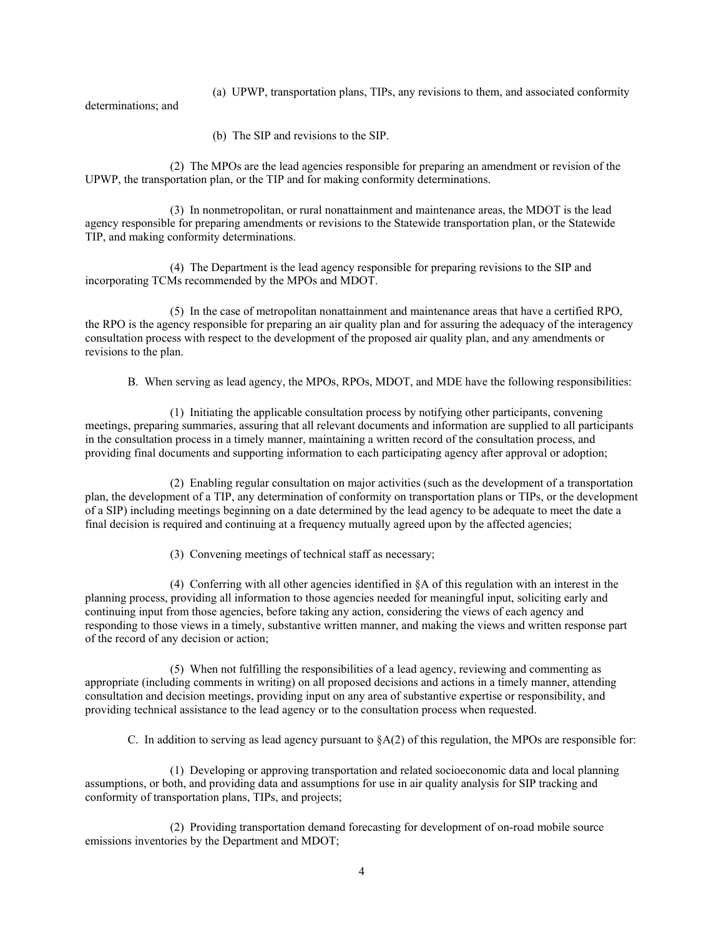(a) UPWP, transportation plans, TIPs, any revisions to them, and associated conformity

determinations; and

(b) The SIP and revisions to the SIP.

 (2) The MPOs are the lead agencies responsible for preparing an amendment or revision of the UPWP, the transportation plan, or the TIP and for making conformity determinations.

 (3) In nonmetropolitan, or rural nonattainment and maintenance areas, the MDOT is the lead agency responsible for preparing amendments or revisions to the Statewide transportation plan, or the Statewide TIP, and making conformity determinations.

 (4) The Department is the lead agency responsible for preparing revisions to the SIP and incorporating TCMs recommended by the MPOs and MDOT.

 (5) In the case of metropolitan nonattainment and maintenance areas that have a certified RPO, the RPO is the agency responsible for preparing an air quality plan and for assuring the adequacy of the interagency consultation process with respect to the development of the proposed air quality plan, and any amendments or revisions to the plan.

B. When serving as lead agency, the MPOs, RPOs, MDOT, and MDE have the following responsibilities:

 (1) Initiating the applicable consultation process by notifying other participants, convening meetings, preparing summaries, assuring that all relevant documents and information are supplied to all participants in the consultation process in a timely manner, maintaining a written record of the consultation process, and providing final documents and supporting information to each participating agency after approval or adoption;

 (2) Enabling regular consultation on major activities (such as the development of a transportation plan, the development of a TIP, any determination of conformity on transportation plans or TIPs, or the development of a SIP) including meetings beginning on a date determined by the lead agency to be adequate to meet the date a final decision is required and continuing at a frequency mutually agreed upon by the affected agencies;

(3) Convening meetings of technical staff as necessary;

 (4) Conferring with all other agencies identified in §A of this regulation with an interest in the planning process, providing all information to those agencies needed for meaningful input, soliciting early and continuing input from those agencies, before taking any action, considering the views of each agency and responding to those views in a timely, substantive written manner, and making the views and written response part of the record of any decision or action;

 (5) When not fulfilling the responsibilities of a lead agency, reviewing and commenting as appropriate (including comments in writing) on all proposed decisions and actions in a timely manner, attending consultation and decision meetings, providing input on any area of substantive expertise or responsibility, and providing technical assistance to the lead agency or to the consultation process when requested.

C. In addition to serving as lead agency pursuant to  $\delta A(2)$  of this regulation, the MPOs are responsible for:

 (1) Developing or approving transportation and related socioeconomic data and local planning assumptions, or both, and providing data and assumptions for use in air quality analysis for SIP tracking and conformity of transportation plans, TIPs, and projects;

 (2) Providing transportation demand forecasting for development of on-road mobile source emissions inventories by the Department and MDOT;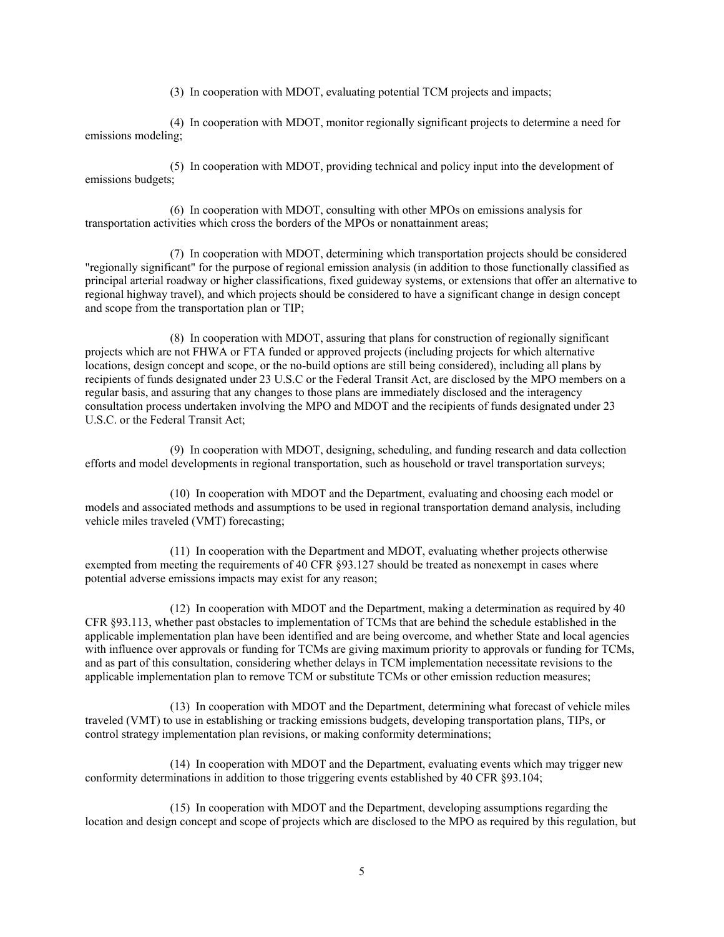(3) In cooperation with MDOT, evaluating potential TCM projects and impacts;

 (4) In cooperation with MDOT, monitor regionally significant projects to determine a need for emissions modeling;

 (5) In cooperation with MDOT, providing technical and policy input into the development of emissions budgets;

 (6) In cooperation with MDOT, consulting with other MPOs on emissions analysis for transportation activities which cross the borders of the MPOs or nonattainment areas;

 (7) In cooperation with MDOT, determining which transportation projects should be considered "regionally significant" for the purpose of regional emission analysis (in addition to those functionally classified as principal arterial roadway or higher classifications, fixed guideway systems, or extensions that offer an alternative to regional highway travel), and which projects should be considered to have a significant change in design concept and scope from the transportation plan or TIP;

 (8) In cooperation with MDOT, assuring that plans for construction of regionally significant projects which are not FHWA or FTA funded or approved projects (including projects for which alternative locations, design concept and scope, or the no-build options are still being considered), including all plans by recipients of funds designated under 23 U.S.C or the Federal Transit Act, are disclosed by the MPO members on a regular basis, and assuring that any changes to those plans are immediately disclosed and the interagency consultation process undertaken involving the MPO and MDOT and the recipients of funds designated under 23 U.S.C. or the Federal Transit Act;

 (9) In cooperation with MDOT, designing, scheduling, and funding research and data collection efforts and model developments in regional transportation, such as household or travel transportation surveys;

 (10) In cooperation with MDOT and the Department, evaluating and choosing each model or models and associated methods and assumptions to be used in regional transportation demand analysis, including vehicle miles traveled (VMT) forecasting;

 (11) In cooperation with the Department and MDOT, evaluating whether projects otherwise exempted from meeting the requirements of 40 CFR §93.127 should be treated as nonexempt in cases where potential adverse emissions impacts may exist for any reason;

 (12) In cooperation with MDOT and the Department, making a determination as required by 40 CFR §93.113, whether past obstacles to implementation of TCMs that are behind the schedule established in the applicable implementation plan have been identified and are being overcome, and whether State and local agencies with influence over approvals or funding for TCMs are giving maximum priority to approvals or funding for TCMs, and as part of this consultation, considering whether delays in TCM implementation necessitate revisions to the applicable implementation plan to remove TCM or substitute TCMs or other emission reduction measures;

 (13) In cooperation with MDOT and the Department, determining what forecast of vehicle miles traveled (VMT) to use in establishing or tracking emissions budgets, developing transportation plans, TIPs, or control strategy implementation plan revisions, or making conformity determinations;

 (14) In cooperation with MDOT and the Department, evaluating events which may trigger new conformity determinations in addition to those triggering events established by 40 CFR §93.104;

 (15) In cooperation with MDOT and the Department, developing assumptions regarding the location and design concept and scope of projects which are disclosed to the MPO as required by this regulation, but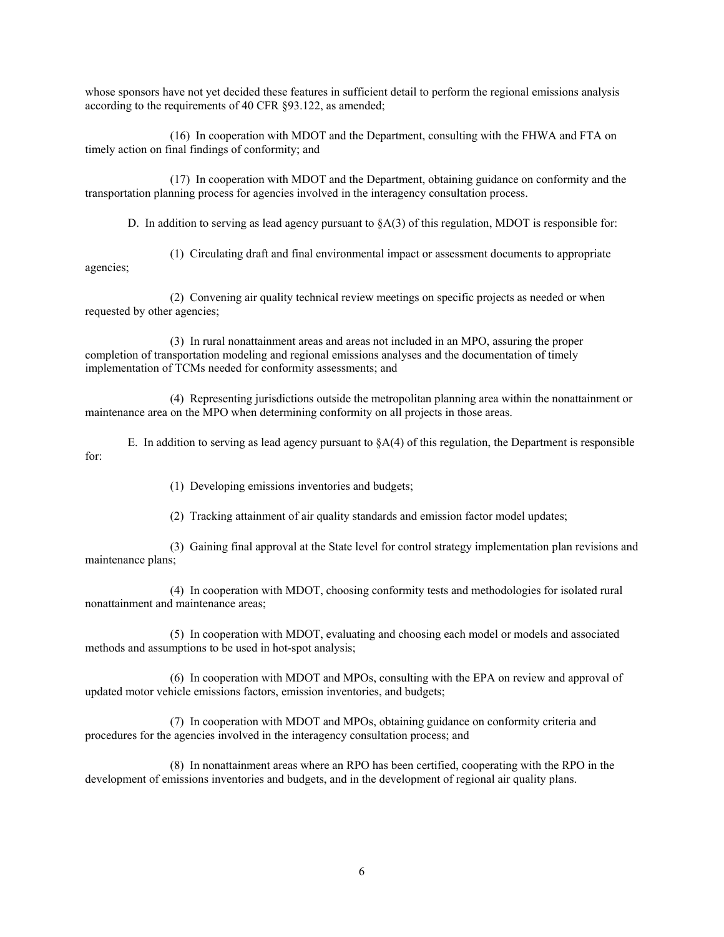whose sponsors have not yet decided these features in sufficient detail to perform the regional emissions analysis according to the requirements of 40 CFR §93.122, as amended;

 (16) In cooperation with MDOT and the Department, consulting with the FHWA and FTA on timely action on final findings of conformity; and

 (17) In cooperation with MDOT and the Department, obtaining guidance on conformity and the transportation planning process for agencies involved in the interagency consultation process.

D. In addition to serving as lead agency pursuant to  $\delta A(3)$  of this regulation, MDOT is responsible for:

 (1) Circulating draft and final environmental impact or assessment documents to appropriate agencies;

 (2) Convening air quality technical review meetings on specific projects as needed or when requested by other agencies;

 (3) In rural nonattainment areas and areas not included in an MPO, assuring the proper completion of transportation modeling and regional emissions analyses and the documentation of timely implementation of TCMs needed for conformity assessments; and

 (4) Representing jurisdictions outside the metropolitan planning area within the nonattainment or maintenance area on the MPO when determining conformity on all projects in those areas.

E. In addition to serving as lead agency pursuant to  $\S A(4)$  of this regulation, the Department is responsible for:

(1) Developing emissions inventories and budgets;

(2) Tracking attainment of air quality standards and emission factor model updates;

 (3) Gaining final approval at the State level for control strategy implementation plan revisions and maintenance plans;

 (4) In cooperation with MDOT, choosing conformity tests and methodologies for isolated rural nonattainment and maintenance areas;

 (5) In cooperation with MDOT, evaluating and choosing each model or models and associated methods and assumptions to be used in hot-spot analysis;

 (6) In cooperation with MDOT and MPOs, consulting with the EPA on review and approval of updated motor vehicle emissions factors, emission inventories, and budgets;

 (7) In cooperation with MDOT and MPOs, obtaining guidance on conformity criteria and procedures for the agencies involved in the interagency consultation process; and

 (8) In nonattainment areas where an RPO has been certified, cooperating with the RPO in the development of emissions inventories and budgets, and in the development of regional air quality plans.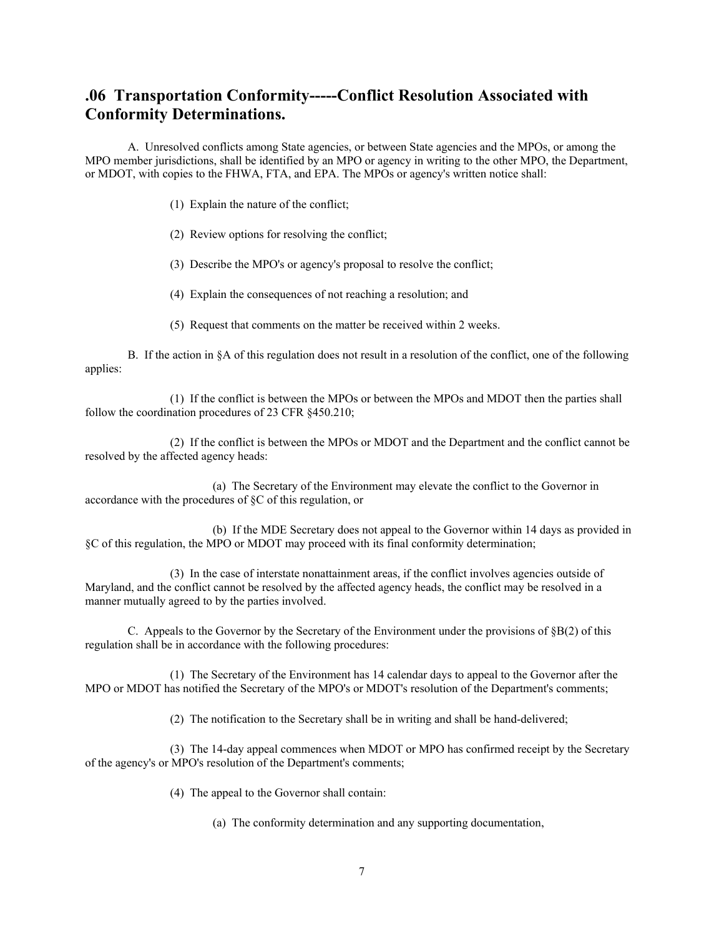# **.06 Transportation Conformity-----Conflict Resolution Associated with Conformity Determinations.**

 A. Unresolved conflicts among State agencies, or between State agencies and the MPOs, or among the MPO member jurisdictions, shall be identified by an MPO or agency in writing to the other MPO, the Department, or MDOT, with copies to the FHWA, FTA, and EPA. The MPOs or agency's written notice shall:

- (1) Explain the nature of the conflict;
- (2) Review options for resolving the conflict;
- (3) Describe the MPO's or agency's proposal to resolve the conflict;
- (4) Explain the consequences of not reaching a resolution; and
- (5) Request that comments on the matter be received within 2 weeks.

 B. If the action in §A of this regulation does not result in a resolution of the conflict, one of the following applies:

 (1) If the conflict is between the MPOs or between the MPOs and MDOT then the parties shall follow the coordination procedures of 23 CFR §450.210;

 (2) If the conflict is between the MPOs or MDOT and the Department and the conflict cannot be resolved by the affected agency heads:

 (a) The Secretary of the Environment may elevate the conflict to the Governor in accordance with the procedures of §C of this regulation, or

 (b) If the MDE Secretary does not appeal to the Governor within 14 days as provided in §C of this regulation, the MPO or MDOT may proceed with its final conformity determination;

 (3) In the case of interstate nonattainment areas, if the conflict involves agencies outside of Maryland, and the conflict cannot be resolved by the affected agency heads, the conflict may be resolved in a manner mutually agreed to by the parties involved.

C. Appeals to the Governor by the Secretary of the Environment under the provisions of  $\S B(2)$  of this regulation shall be in accordance with the following procedures:

 (1) The Secretary of the Environment has 14 calendar days to appeal to the Governor after the MPO or MDOT has notified the Secretary of the MPO's or MDOT's resolution of the Department's comments;

(2) The notification to the Secretary shall be in writing and shall be hand-delivered;

 (3) The 14-day appeal commences when MDOT or MPO has confirmed receipt by the Secretary of the agency's or MPO's resolution of the Department's comments;

(4) The appeal to the Governor shall contain:

(a) The conformity determination and any supporting documentation,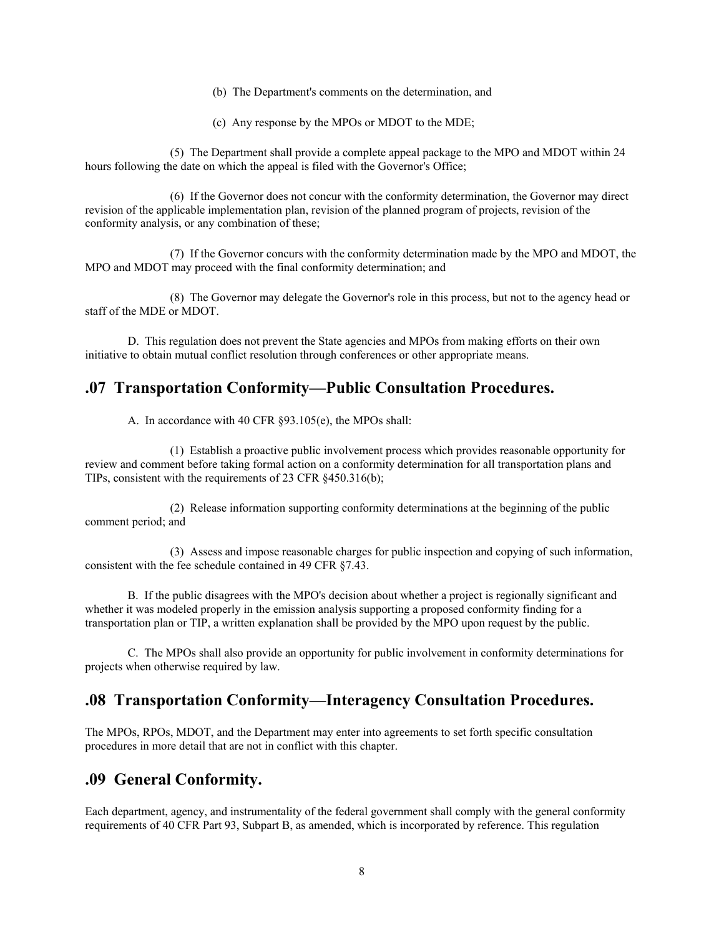- (b) The Department's comments on the determination, and
- (c) Any response by the MPOs or MDOT to the MDE;

 (5) The Department shall provide a complete appeal package to the MPO and MDOT within 24 hours following the date on which the appeal is filed with the Governor's Office;

 (6) If the Governor does not concur with the conformity determination, the Governor may direct revision of the applicable implementation plan, revision of the planned program of projects, revision of the conformity analysis, or any combination of these;

 (7) If the Governor concurs with the conformity determination made by the MPO and MDOT, the MPO and MDOT may proceed with the final conformity determination; and

 (8) The Governor may delegate the Governor's role in this process, but not to the agency head or staff of the MDE or MDOT.

 D. This regulation does not prevent the State agencies and MPOs from making efforts on their own initiative to obtain mutual conflict resolution through conferences or other appropriate means.

## **.07 Transportation Conformity—Public Consultation Procedures.**

A. In accordance with 40 CFR §93.105(e), the MPOs shall:

 (1) Establish a proactive public involvement process which provides reasonable opportunity for review and comment before taking formal action on a conformity determination for all transportation plans and TIPs, consistent with the requirements of 23 CFR §450.316(b);

 (2) Release information supporting conformity determinations at the beginning of the public comment period; and

 (3) Assess and impose reasonable charges for public inspection and copying of such information, consistent with the fee schedule contained in 49 CFR §7.43.

 B. If the public disagrees with the MPO's decision about whether a project is regionally significant and whether it was modeled properly in the emission analysis supporting a proposed conformity finding for a transportation plan or TIP, a written explanation shall be provided by the MPO upon request by the public.

 C. The MPOs shall also provide an opportunity for public involvement in conformity determinations for projects when otherwise required by law.

## **.08 Transportation Conformity—Interagency Consultation Procedures.**

The MPOs, RPOs, MDOT, and the Department may enter into agreements to set forth specific consultation procedures in more detail that are not in conflict with this chapter.

## **.09 General Conformity.**

Each department, agency, and instrumentality of the federal government shall comply with the general conformity requirements of 40 CFR Part 93, Subpart B, as amended, which is incorporated by reference. This regulation